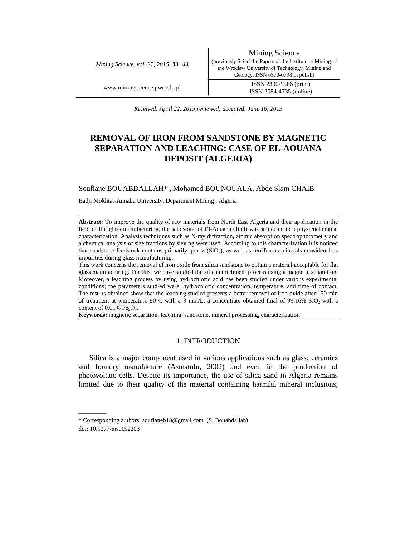*Mining Science, vol. 22, 2015, 33−44* 

Mining Science (previously Scientific Papers of the Institute of Mining of the Wroclaw University of Technology. Mining and Geology, ISSN 0370-0798 in polish)

www.miningscience.pwr.edu.pl ISSN 2300-9586 (print) ISSN 2084-4735 (online)

*Received: April 22, 2015,reviewed; accepted: June 16, 2015* 

# **REMOVAL OF IRON FROM SANDSTONE BY MAGNETIC SEPARATION AND LEACHING: CASE OF EL-AOUANA DEPOSIT (ALGERIA)**

# Soufiane BOUABDALLAH\* , Mohamed BOUNOUALA, Abde Slam CHAIB

Badji Mokhtar-Annaba University, Department Mining , Algeria

**Abstract:** To improve the quality of raw materials from North East Algeria and their application in the field of flat glass manufacturing, the sandstone of El-Aouana (Jijel) was subjected to a physicochemical characterization. Analysis techniques such as X-ray diffraction, atomic absorption spectrophotometry and a chemical analysis of size fractions by sieving were used. According to this characterization it is noticed that sandstone feedstock contains primarily quartz (SiO<sub>2</sub>), as well as ferriferous minerals considered as impurities during glass manufacturing.

This work concerns the removal of iron oxide from silica sandstone to obtain a material acceptable for flat glass manufacturing. For this, we have studied the silica enrichment process using a magnetic separation. Moreover, a leaching process by using hydrochloric acid has been studied under various experimental conditions; the parameters studied were: hydrochloric concentration, temperature, and time of contact. The results obtained show that the leaching studied presents a better removal of iron oxide after 150 min of treatment at temperature  $90^{\circ}$ C with a 3 mol/L, a concentrate obtained final of  $99.16\%$  SiO<sub>2</sub> with a content of  $0.01\%$  Fe<sub>2</sub>O<sub>3</sub>.

**Keywords:** magnetic separation, leaching, sandstone, mineral processing, characterization

# 1. INTRODUCTION

Silica is a major component used in various applications such as glass; ceramics and foundry manufacture (Asmatulu, 2002) and even in the production of photovoltaic cells. Despite its importance, the use of silica sand in Algeria remains limited due to their quality of the material containing harmful mineral inclusions,

\_\_\_\_\_\_\_\_\_

<sup>\*</sup> Corresponding authors: soufianeb18@gmail.com (S. Bouabdallah)

doi: 10.5277/msc152203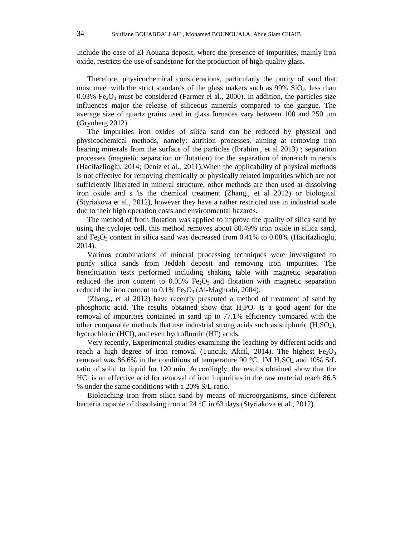Include the case of El Aouana deposit, where the presence of impurities, mainly iron oxide, restricts the use of sandstone for the production of high-quality glass.

Therefore, physicochemical considerations, particularly the purity of sand that must meet with the strict standards of the glass makers such as  $99\%$  SiO<sub>2</sub>, less than  $0.03\%$  Fe<sub>2</sub>O<sub>3</sub> must be considered (Farmer el al., 2000). In addition, the particles size influences major the release of siliceous minerals compared to the gangue. The average size of quartz grains used in glass furnaces vary between 100 and 250 µm (Grynberg 2012).

The impurities iron oxides of silica sand can be reduced by physical and physicochemical methods, namely: attrition processes, aiming at removing iron bearing minerals from the surface of the particles (Ibrahim., et al 2013) ; separation processes (magnetic separation or flotation) for the separation of iron-rich minerals (Hacifazlioglu, 2014; Deniz et al., 2011),When the applicability of physical methods is not effective for removing chemically or physically related impurities which are not sufficiently liberated in mineral structure, other methods are then used at dissolving iron oxide and s 'is the chemical treatment (Zhang., et al 2012) or biological (Styriakova et al., 2012), however they have a rather restricted use in industrial scale due to their high operation costs and environmental hazards.

The method of froth flotation was applied to improve the quality of silica sand by using the cyclojet cell, this method removes about 80.49% iron oxide in silica sand, and Fe<sub>2</sub>O<sub>3</sub> content in silica sand was decreased from  $0.41\%$  to  $0.08\%$  (Hacifazlioglu, 2014).

Various combinations of mineral processing techniques were investigated to purify silica sands from Jeddah deposit and removing iron impurities. The beneficiation tests performed including shaking table with magnetic separation reduced the iron content to  $0.05\%$  Fe<sub>2</sub>O<sub>3</sub> and flotation with magnetic separation reduced the iron content to  $0.1\%$  Fe<sub>2</sub>O<sub>3</sub> (Al-Maghrabi, 2004).

(Zhang., et al 2012) have recently presented a method of treatment of sand by phosphoric acid. The results obtained show that  $H_3PO_4$  is a good agent for the removal of impurities contained in sand up to 77.1% efficiency compared with the other comparable methods that use industrial strong acids such as sulphuric  $(H_2SO_4)$ , hydrochloric (HCl), and even hydrofluoric (HF) acids.

Very recently, Experimental studies examining the leaching by different acids and reach a high degree of iron removal (Tuncuk, Akcil, 2014). The highest  $Fe<sub>2</sub>O<sub>3</sub>$ removal was 86.6% in the conditions of temperature 90 °C, 1M  $H_2SO_4$  and 10% S/L ratio of solid to liquid for 120 min. Accordingly, the results obtained show that the HCl is an effective acid for removal of iron impurities in the raw material reach 86.5 % under the same conditions with a 20% S/L ratio.

Bioleaching iron from silica sand by means of microorganisms, since different bacteria capable of dissolving iron at 24 °C in 63 days (Styriakova et al., 2012).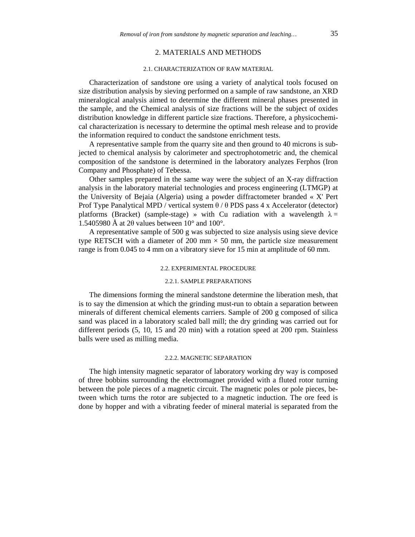# 2. MATERIALS AND METHODS

## 2.1. CHARACTERIZATION OF RAW MATERIAL

Characterization of sandstone ore using a variety of analytical tools focused on size distribution analysis by sieving performed on a sample of raw sandstone, an XRD mineralogical analysis aimed to determine the different mineral phases presented in the sample, and the Chemical analysis of size fractions will be the subject of oxides distribution knowledge in different particle size fractions. Therefore, a physicochemical characterization is necessary to determine the optimal mesh release and to provide the information required to conduct the sandstone enrichment tests.

A representative sample from the quarry site and then ground to 40 microns is subjected to chemical analysis by calorimeter and spectrophotometric and, the chemical composition of the sandstone is determined in the laboratory analyzes Ferphos (Iron Company and Phosphate) of Tebessa.

Other samples prepared in the same way were the subject of an X-ray diffraction analysis in the laboratory material technologies and process engineering (LTMGP) at the University of Bejaia (Algeria) using a powder diffractometer branded « X' Pert Prof Type Panalytical MPD / vertical system θ / θ PDS pass 4 x Accelerator (detector) platforms (Bracket) (sample-stage) » with Cu radiation with a wavelength  $\lambda =$ 1.5405980 Å at 2 $\theta$  values between 10 $\degree$  and 100 $\degree$ .

A representative sample of 500 g was subjected to size analysis using sieve device type RETSCH with a diameter of 200 mm  $\times$  50 mm, the particle size measurement range is from 0.045 to 4 mm on a vibratory sieve for 15 min at amplitude of 60 mm.

## 2.2. EXPERIMENTAL PROCEDURE

#### 2.2.1. SAMPLE PREPARATIONS

The dimensions forming the mineral sandstone determine the liberation mesh, that is to say the dimension at which the grinding must-run to obtain a separation between minerals of different chemical elements carriers. Sample of 200 g composed of silica sand was placed in a laboratory scaled ball mill; the dry grinding was carried out for different periods (5, 10, 15 and 20 min) with a rotation speed at 200 rpm. Stainless balls were used as milling media.

#### 2.2.2. MAGNETIC SEPARATION

The high intensity magnetic separator of laboratory working dry way is composed of three bobbins surrounding the electromagnet provided with a fluted rotor turning between the pole pieces of a magnetic circuit. The magnetic poles or pole pieces, between which turns the rotor are subjected to a magnetic induction. The ore feed is done by hopper and with a vibrating feeder of mineral material is separated from the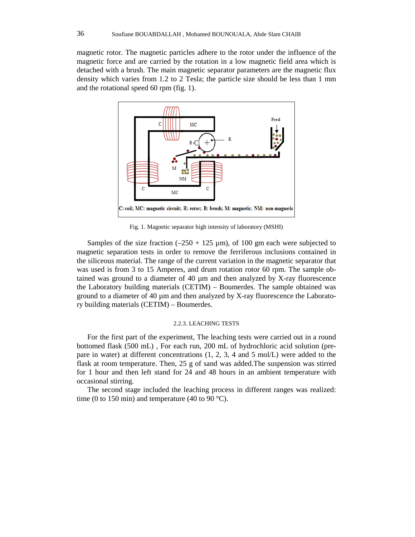magnetic rotor. The magnetic particles adhere to the rotor under the influence of the magnetic force and are carried by the rotation in a low magnetic field area which is detached with a brush. The main magnetic separator parameters are the magnetic flux density which varies from 1.2 to 2 Tesla; the particle size should be less than 1 mm and the rotational speed 60 rpm (fig. 1).



Fig. 1. Magnetic separator high intensity of laboratory (MSHI)

Samples of the size fraction  $(-250 + 125 \text{ µm})$ , of 100 gm each were subjected to magnetic separation tests in order to remove the ferriferous inclusions contained in the siliceous material. The range of the current variation in the magnetic separator that was used is from 3 to 15 Amperes, and drum rotation rotor 60 rpm. The sample obtained was ground to a diameter of 40 µm and then analyzed by X-ray fluorescence the Laboratory building materials (CETIM) – Boumerdes. The sample obtained was ground to a diameter of  $40 \mu m$  and then analyzed by X-ray fluorescence the Laboratory building materials (CETIM) – Boumerdes.

### 2.2.3. LEACHING TESTS

For the first part of the experiment, The leaching tests were carried out in a round bottomed flask (500 mL) , For each run, 200 mL of hydrochloric acid solution (prepare in water) at different concentrations (1, 2, 3, 4 and 5 mol/L) were added to the flask at room temperature. Then, 25 g of sand was added.The suspension was stirred for 1 hour and then left stand for 24 and 48 hours in an ambient temperature with occasional stirring.

The second stage included the leaching process in different ranges was realized: time (0 to 150 min) and temperature (40 to 90 °C).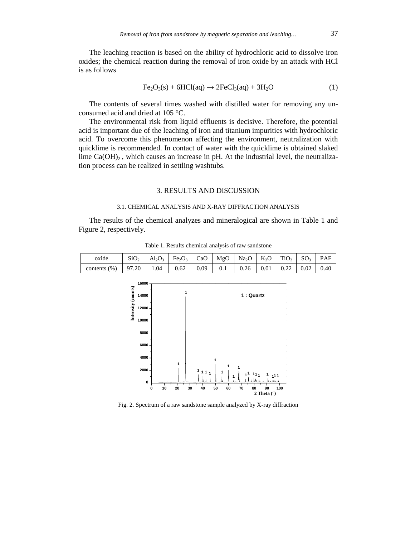The leaching reaction is based on the ability of hydrochloric acid to dissolve iron oxides; the chemical reaction during the removal of iron oxide by an attack with HCl is as follows

$$
Fe2O3(s) + 6HCl(aq) \rightarrow 2FeCl3(aq) + 3H2O
$$
 (1)

The contents of several times washed with distilled water for removing any unconsumed acid and dried at 105 °C.

The environmental risk from liquid effluents is decisive. Therefore, the potential acid is important due of the leaching of iron and titanium impurities with hydrochloric acid. To overcome this phenomenon affecting the environment, neutralization with quicklime is recommended. In contact of water with the quicklime is obtained slaked lime  $Ca(OH)_{2}$ , which causes an increase in pH. At the industrial level, the neutralization process can be realized in settling washtubs.

### 3. RESULTS AND DISCUSSION

#### 3.1. CHEMICAL ANALYSIS AND X-RAY DIFFRACTION ANALYSIS

The results of the chemical analyzes and mineralogical are shown in Table 1 and Figure 2, respectively.

| oxide            | SiO <sub>2</sub> |                   | $\text{Al}_2\text{O}_3$   Fe <sub>2</sub> O <sub>3</sub>   CaO   MgO   Na <sub>2</sub> O   K <sub>2</sub> O   TiO <sub>2</sub>   SO <sub>3</sub>   PAF |  |  |  |  |
|------------------|------------------|-------------------|--------------------------------------------------------------------------------------------------------------------------------------------------------|--|--|--|--|
| contents $(\% )$ |                  | $97.20$ 1.04 0.62 |                                                                                                                                                        |  |  |  |  |

Table 1. Results chemical analysis of raw sandstone



Fig. 2. Spectrum of a raw sandstone sample analyzed by X-ray diffraction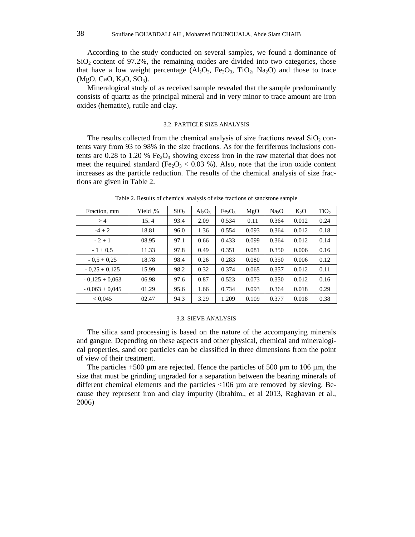According to the study conducted on several samples, we found a dominance of  $SiO<sub>2</sub>$  content of 97.2%, the remaining oxides are divided into two categories, those that have a low weight percentage  $(Al_2O_3, Fe_2O_3, TiO_2, Na_2O)$  and those to trace  $(MgO, CaO, K<sub>2</sub>O, SO<sub>3</sub>).$ 

Mineralogical study of as received sample revealed that the sample predominantly consists of quartz as the principal mineral and in very minor to trace amount are iron oxides (hematite), rutile and clay.

## 3.2. PARTICLE SIZE ANALYSIS

The results collected from the chemical analysis of size fractions reveal  $SiO<sub>2</sub>$  contents vary from 93 to 98% in the size fractions. As for the ferriferous inclusions contents are 0.28 to 1.20 %  $Fe<sub>2</sub>O<sub>3</sub>$  showing excess iron in the raw material that does not meet the required standard (Fe<sub>2</sub>O<sub>3</sub> < 0.03 %). Also, note that the iron oxide content increases as the particle reduction. The results of the chemical analysis of size fractions are given in Table 2.

| Fraction, mm     | Yield .% | SiO <sub>2</sub> | $Al_2O_3$ | Fe <sub>2</sub> O <sub>3</sub> | MgO   | Na <sub>2</sub> O | $K_2O$ | TiO <sub>2</sub> |
|------------------|----------|------------------|-----------|--------------------------------|-------|-------------------|--------|------------------|
| >4               | 15.4     | 93.4             | 2.09      | 0.534                          | 0.11  | 0.364             | 0.012  | 0.24             |
| $-4 + 2$         | 18.81    | 96.0             | 1.36      | 0.554                          | 0.093 | 0.364             | 0.012  | 0.18             |
| $-2+1$           | 08.95    | 97.1             | 0.66      | 0.433                          | 0.099 | 0.364             | 0.012  | 0.14             |
| $-1 + 0.5$       | 11.33    | 97.8             | 0.49      | 0.351                          | 0.081 | 0.350             | 0.006  | 0.16             |
| $-0.5 + 0.25$    | 18.78    | 98.4             | 0.26      | 0.283                          | 0.080 | 0.350             | 0.006  | 0.12             |
| $-0.25 + 0.125$  | 15.99    | 98.2             | 0.32      | 0.374                          | 0.065 | 0.357             | 0.012  | 0.11             |
| $-0.125 + 0.063$ | 06.98    | 97.6             | 0.87      | 0.523                          | 0.073 | 0.350             | 0.012  | 0.16             |
| $-0.063 + 0.045$ | 01.29    | 95.6             | 1.66      | 0.734                          | 0.093 | 0.364             | 0.018  | 0.29             |
| < 0.045          | 02.47    | 94.3             | 3.29      | 1.209                          | 0.109 | 0.377             | 0.018  | 0.38             |

Table 2. Results of chemical analysis of size fractions of sandstone sample

## 3.3. SIEVE ANALYSIS

The silica sand processing is based on the nature of the accompanying minerals and gangue. Depending on these aspects and other physical, chemical and mineralogical properties, sand ore particles can be classified in three dimensions from the point of view of their treatment.

The particles  $+500 \mu m$  are rejected. Hence the particles of 500  $\mu m$  to 106  $\mu m$ , the size that must be grinding ungraded for a separation between the bearing minerals of different chemical elements and the particles <106 µm are removed by sieving. Because they represent iron and clay impurity (Ibrahim., et al 2013, Raghavan et al., 2006)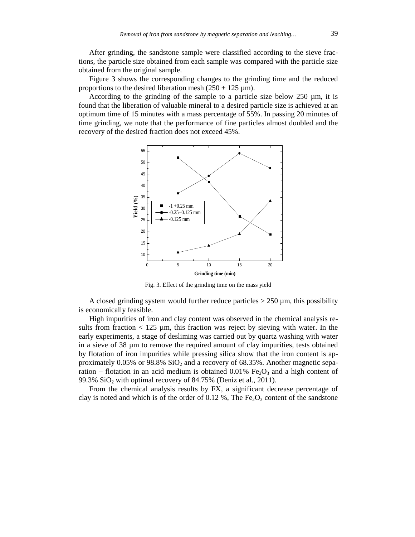After grinding, the sandstone sample were classified according to the sieve fractions, the particle size obtained from each sample was compared with the particle size obtained from the original sample.

Figure 3 shows the corresponding changes to the grinding time and the reduced proportions to the desired liberation mesh  $(250 + 125 \,\mu\text{m})$ .

According to the grinding of the sample to a particle size below 250 µm, it is found that the liberation of valuable mineral to a desired particle size is achieved at an optimum time of 15 minutes with a mass percentage of 55%. In passing 20 minutes of time grinding, we note that the performance of fine particles almost doubled and the recovery of the desired fraction does not exceed 45%.



Fig. 3. Effect of the grinding time on the mass yield

A closed grinding system would further reduce particles  $> 250 \mu m$ , this possibility is economically feasible.

High impurities of iron and clay content was observed in the chemical analysis results from fraction  $< 125 \mu m$ , this fraction was reject by sieving with water. In the early experiments, a stage of desliming was carried out by quartz washing with water in a sieve of 38 µm to remove the required amount of clay impurities, tests obtained by flotation of iron impurities while pressing silica show that the iron content is approximately  $0.05\%$  or  $98.8\%$  SiO<sub>2</sub> and a recovery of 68.35%. Another magnetic separation – flotation in an acid medium is obtained 0.01% Fe<sub>2</sub>O<sub>3</sub> and a high content of 99.3%  $SiO<sub>2</sub>$  with optimal recovery of 84.75% (Deniz et al., 2011).

From the chemical analysis results by FX, a significant decrease percentage of clay is noted and which is of the order of 0.12 %, The Fe<sub>2</sub>O<sub>3</sub> content of the sandstone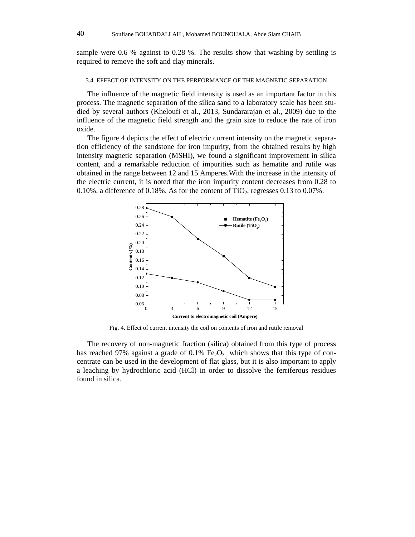sample were 0.6 % against to 0.28 %. The results show that washing by settling is required to remove the soft and clay minerals.

#### 3.4. EFFECT OF INTENSITY ON THE PERFORMANCE OF THE MAGNETIC SEPARATION

The influence of the magnetic field intensity is used as an important factor in this process. The magnetic separation of the silica sand to a laboratory scale has been studied by several authors (Kheloufi et al., 2013, Sundararajan et al., 2009) due to the influence of the magnetic field strength and the grain size to reduce the rate of iron oxide.

The figure 4 depicts the effect of electric current intensity on the magnetic separation efficiency of the sandstone for iron impurity, from the obtained results by high intensity magnetic separation (MSHI), we found a significant improvement in silica content, and a remarkable reduction of impurities such as hematite and rutile was obtained in the range between 12 and 15 Amperes.With the increase in the intensity of the electric current, it is noted that the iron impurity content decreases from 0.28 to 0.10%, a difference of 0.18%. As for the content of  $TiO<sub>2</sub>$ , regresses 0.13 to 0.07%.



Fig. 4. Effect of current intensity the coil on contents of iron and rutile removal

The recovery of non-magnetic fraction (silica) obtained from this type of process has reached 97% against a grade of 0.1% Fe<sub>2</sub>O<sub>3</sub> which shows that this type of concentrate can be used in the development of flat glass, but it is also important to apply a leaching by hydrochloric acid (HCl) in order to dissolve the ferriferous residues found in silica.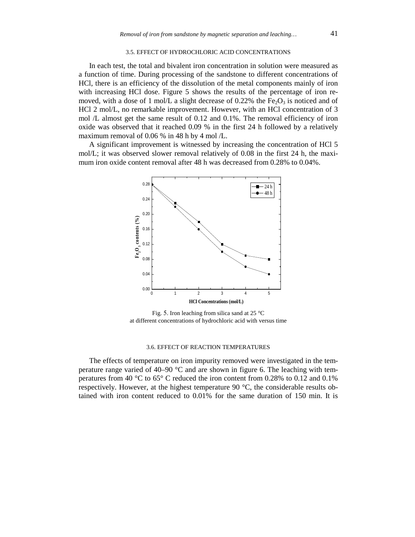#### 3.5. EFFECT OF HYDROCHLORIC ACID CONCENTRATIONS

In each test, the total and bivalent iron concentration in solution were measured as a function of time. During processing of the sandstone to different concentrations of HCl, there is an efficiency of the dissolution of the metal components mainly of iron with increasing HCl dose. Figure 5 shows the results of the percentage of iron removed, with a dose of 1 mol/L a slight decrease of 0.22% the  $Fe<sub>2</sub>O<sub>3</sub>$  is noticed and of HCl 2 mol/L, no remarkable improvement. However, with an HCl concentration of 3 mol /L almost get the same result of 0.12 and 0.1%. The removal efficiency of iron oxide was observed that it reached 0.09 % in the first 24 h followed by a relatively maximum removal of 0.06 % in 48 h by 4 mol /L.

A significant improvement is witnessed by increasing the concentration of HCl 5 mol/L; it was observed slower removal relatively of 0.08 in the first 24 h, the maximum iron oxide content removal after 48 h was decreased from 0.28% to 0.04%.



Fig. 5. Iron leaching from silica sand at 25  $^{\circ}$ C at different concentrations of hydrochloric acid with versus time

#### 3.6. EFFECT OF REACTION TEMPERATURES

The effects of temperature on iron impurity removed were investigated in the temperature range varied of  $40-90$  °C and are shown in figure 6. The leaching with temperatures from 40 °C to 65° C reduced the iron content from 0.28% to 0.12 and 0.1% respectively. However, at the highest temperature 90  $\degree$ C, the considerable results obtained with iron content reduced to 0.01% for the same duration of 150 min. It is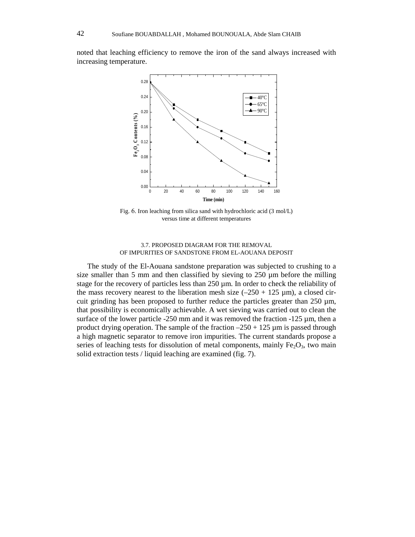noted that leaching efficiency to remove the iron of the sand always increased with increasing temperature.



Fig. 6. Iron leaching from silica sand with hydrochloric acid (3 mol/L) versus time at different temperatures

# 3.7. PROPOSED DIAGRAM FOR THE REMOVAL OF IMPURITIES OF SANDSTONE FROM EL-AOUANA DEPOSIT

The study of the El-Aouana sandstone preparation was subjected to crushing to a size smaller than 5 mm and then classified by sieving to 250 µm before the milling stage for the recovery of particles less than  $250 \mu m$ . In order to check the reliability of the mass recovery nearest to the liberation mesh size  $(-250 + 125 \text{ µm})$ , a closed circuit grinding has been proposed to further reduce the particles greater than  $250 \mu m$ , that possibility is economically achievable. A wet sieving was carried out to clean the surface of the lower particle  $-250$  mm and it was removed the fraction  $-125 \mu$ m, then a product drying operation. The sample of the fraction  $-250 + 125$  µm is passed through a high magnetic separator to remove iron impurities. The current standards propose a series of leaching tests for dissolution of metal components, mainly  $Fe<sub>2</sub>O<sub>3</sub>$ , two main solid extraction tests / liquid leaching are examined (fig. 7).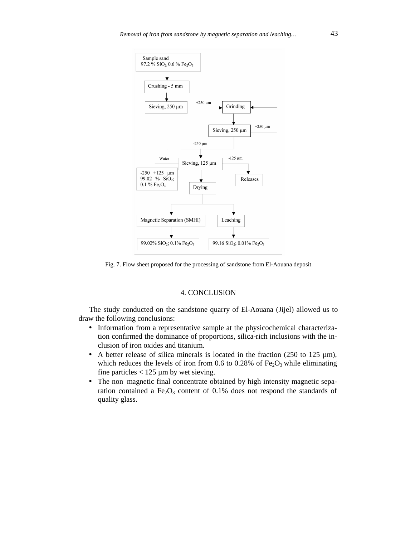

Fig. 7. Flow sheet proposed for the processing of sandstone from El-Aouana deposit

# 4. CONCLUSION

The study conducted on the sandstone quarry of El-Aouana (Jijel) allowed us to draw the following conclusions:

- Information from a representative sample at the physicochemical characterization confirmed the dominance of proportions, silica-rich inclusions with the inclusion of iron oxides and titanium.
- A better release of silica minerals is located in the fraction (250 to 125 µm), which reduces the levels of iron from 0.6 to 0.28% of Fe<sub>2</sub>O<sub>3</sub> while eliminating fine particles  $< 125 \mu m$  by wet sieving.
- The non-magnetic final concentrate obtained by high intensity magnetic separation contained a Fe<sub>2</sub>O<sub>3</sub> content of 0.1% does not respond the standards of quality glass.